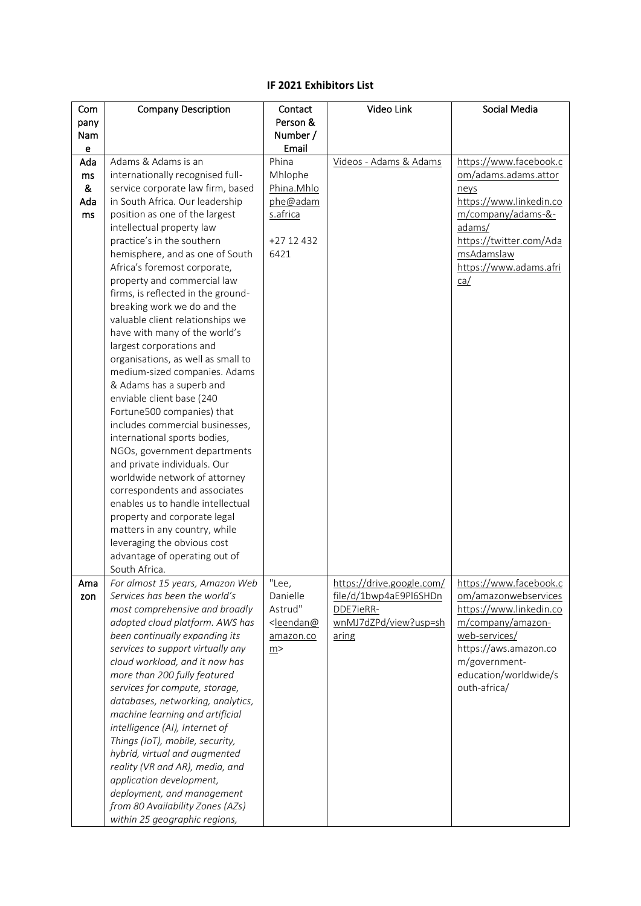## **IF 2021 Exhibitors List**

| Com  | <b>Company Description</b>                                          | Contact                                                                               | Video Link                | Social Media                          |
|------|---------------------------------------------------------------------|---------------------------------------------------------------------------------------|---------------------------|---------------------------------------|
| pany |                                                                     | Person &                                                                              |                           |                                       |
| Nam  |                                                                     | Number /                                                                              |                           |                                       |
| е    |                                                                     | Email                                                                                 |                           |                                       |
| Ada  | Adams & Adams is an                                                 | Phina                                                                                 | Videos - Adams & Adams    | https://www.facebook.c                |
| ms   | internationally recognised full-                                    | Mhlophe                                                                               |                           | om/adams.adams.attor                  |
| &    | service corporate law firm, based                                   | Phina.Mhlo                                                                            |                           | neys                                  |
| Ada  | in South Africa. Our leadership                                     | phe@adam                                                                              |                           | https://www.linkedin.co               |
| ms   | position as one of the largest                                      | s.africa                                                                              |                           | m/company/adams-&-                    |
|      | intellectual property law                                           |                                                                                       |                           | adams/                                |
|      | practice's in the southern                                          | $+2712432$<br>6421                                                                    |                           | https://twitter.com/Ada<br>msAdamslaw |
|      | hemisphere, and as one of South<br>Africa's foremost corporate,     |                                                                                       |                           | https://www.adams.afri                |
|      | property and commercial law                                         |                                                                                       |                           | ca/                                   |
|      | firms, is reflected in the ground-                                  |                                                                                       |                           |                                       |
|      | breaking work we do and the                                         |                                                                                       |                           |                                       |
|      | valuable client relationships we                                    |                                                                                       |                           |                                       |
|      | have with many of the world's                                       |                                                                                       |                           |                                       |
|      | largest corporations and                                            |                                                                                       |                           |                                       |
|      | organisations, as well as small to                                  |                                                                                       |                           |                                       |
|      | medium-sized companies. Adams                                       |                                                                                       |                           |                                       |
|      | & Adams has a superb and                                            |                                                                                       |                           |                                       |
|      | enviable client base (240                                           |                                                                                       |                           |                                       |
|      | Fortune500 companies) that                                          |                                                                                       |                           |                                       |
|      | includes commercial businesses,                                     |                                                                                       |                           |                                       |
|      | international sports bodies,                                        |                                                                                       |                           |                                       |
|      | NGOs, government departments                                        |                                                                                       |                           |                                       |
|      | and private individuals. Our                                        |                                                                                       |                           |                                       |
|      | worldwide network of attorney<br>correspondents and associates      |                                                                                       |                           |                                       |
|      | enables us to handle intellectual                                   |                                                                                       |                           |                                       |
|      | property and corporate legal                                        |                                                                                       |                           |                                       |
|      | matters in any country, while                                       |                                                                                       |                           |                                       |
|      | leveraging the obvious cost                                         |                                                                                       |                           |                                       |
|      | advantage of operating out of                                       |                                                                                       |                           |                                       |
|      | South Africa.                                                       |                                                                                       |                           |                                       |
| Ama  | For almost 15 years, Amazon Web                                     | "Lee,                                                                                 | https://drive.google.com/ | https://www.facebook.c                |
| zon  | Services has been the world's                                       | Danielle                                                                              | file/d/1bwp4aE9Pl6SHDn    | om/amazonwebservices                  |
|      | most comprehensive and broadly                                      | Astrud"                                                                               | DDE7ieRR-                 | https://www.linkedin.co               |
|      | adopted cloud platform. AWS has                                     | <leendan@< th=""><th>wnMJ7dZPd/view?usp=sh</th><th>m/company/amazon-</th></leendan@<> | wnMJ7dZPd/view?usp=sh     | m/company/amazon-                     |
|      | been continually expanding its                                      | amazon.co                                                                             | aring                     | web-services/                         |
|      | services to support virtually any                                   | m >                                                                                   |                           | https://aws.amazon.co                 |
|      | cloud workload, and it now has                                      |                                                                                       |                           | m/government-                         |
|      | more than 200 fully featured                                        |                                                                                       |                           | education/worldwide/s<br>outh-africa/ |
|      | services for compute, storage,<br>databases, networking, analytics, |                                                                                       |                           |                                       |
|      | machine learning and artificial                                     |                                                                                       |                           |                                       |
|      | intelligence (AI), Internet of                                      |                                                                                       |                           |                                       |
|      | Things (IoT), mobile, security,                                     |                                                                                       |                           |                                       |
|      | hybrid, virtual and augmented                                       |                                                                                       |                           |                                       |
|      | reality (VR and AR), media, and                                     |                                                                                       |                           |                                       |
|      | application development,                                            |                                                                                       |                           |                                       |
|      | deployment, and management                                          |                                                                                       |                           |                                       |
|      | from 80 Availability Zones (AZs)                                    |                                                                                       |                           |                                       |
|      | within 25 geographic regions,                                       |                                                                                       |                           |                                       |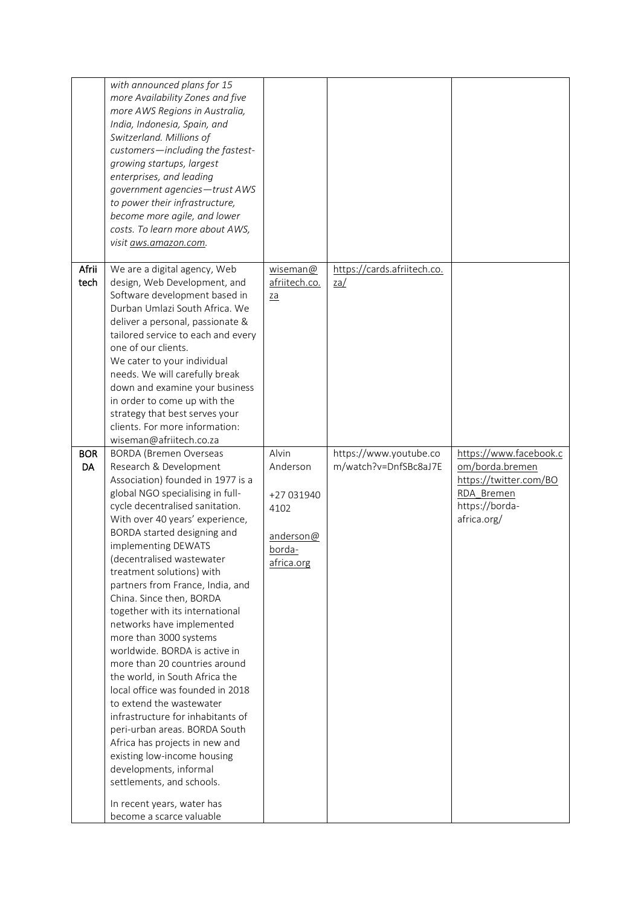|                  | with announced plans for 15<br>more Availability Zones and five<br>more AWS Regions in Australia,<br>India, Indonesia, Spain, and<br>Switzerland. Millions of<br>customers-including the fastest-<br>growing startups, largest<br>enterprises, and leading<br>government agencies-trust AWS<br>to power their infrastructure,<br>become more agile, and lower<br>costs. To learn more about AWS,<br>visit aws.amazon.com.                                                                                                                                                                                                                                                                                                                                                                                                                                                                                    |                                                                              |                                                 |                                                                                                                    |
|------------------|--------------------------------------------------------------------------------------------------------------------------------------------------------------------------------------------------------------------------------------------------------------------------------------------------------------------------------------------------------------------------------------------------------------------------------------------------------------------------------------------------------------------------------------------------------------------------------------------------------------------------------------------------------------------------------------------------------------------------------------------------------------------------------------------------------------------------------------------------------------------------------------------------------------|------------------------------------------------------------------------------|-------------------------------------------------|--------------------------------------------------------------------------------------------------------------------|
| Afrii<br>tech    | We are a digital agency, Web<br>design, Web Development, and<br>Software development based in<br>Durban Umlazi South Africa. We<br>deliver a personal, passionate &<br>tailored service to each and every<br>one of our clients.<br>We cater to your individual<br>needs. We will carefully break<br>down and examine your business<br>in order to come up with the<br>strategy that best serves your<br>clients. For more information:<br>wiseman@afriitech.co.za                                                                                                                                                                                                                                                                                                                                                                                                                                           | wiseman@<br>afriitech.co.<br>$\underline{z}\underline{a}$                    | https://cards.afriitech.co.<br><u>za/</u>       |                                                                                                                    |
| <b>BOR</b><br>DA | <b>BORDA</b> (Bremen Overseas<br>Research & Development<br>Association) founded in 1977 is a<br>global NGO specialising in full-<br>cycle decentralised sanitation.<br>With over 40 years' experience,<br>BORDA started designing and<br>implementing DEWATS<br>(decentralised wastewater<br>treatment solutions) with<br>partners from France, India, and<br>China. Since then, BORDA<br>together with its international<br>networks have implemented<br>more than 3000 systems<br>worldwide. BORDA is active in<br>more than 20 countries around<br>the world, in South Africa the<br>local office was founded in 2018<br>to extend the wastewater<br>infrastructure for inhabitants of<br>peri-urban areas. BORDA South<br>Africa has projects in new and<br>existing low-income housing<br>developments, informal<br>settlements, and schools.<br>In recent years, water has<br>become a scarce valuable | Alvin<br>Anderson<br>+27 031940<br>4102<br>anderson@<br>borda-<br>africa.org | https://www.youtube.co<br>m/watch?v=DnfSBc8aJ7E | https://www.facebook.c<br>om/borda.bremen<br>https://twitter.com/BO<br>RDA Bremen<br>https://borda-<br>africa.org/ |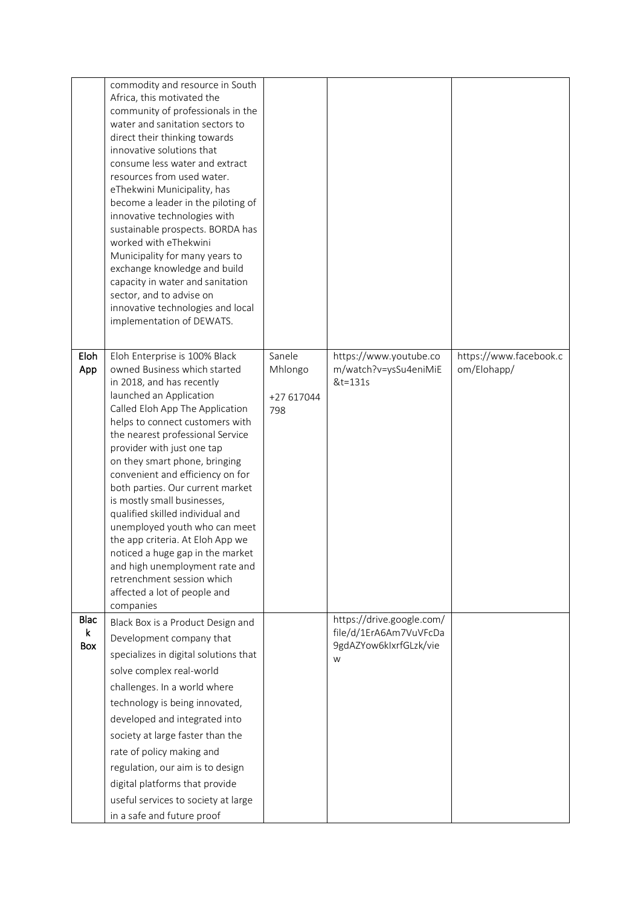|                         | commodity and resource in South<br>Africa, this motivated the<br>community of professionals in the<br>water and sanitation sectors to<br>direct their thinking towards<br>innovative solutions that<br>consume less water and extract<br>resources from used water.<br>eThekwini Municipality, has<br>become a leader in the piloting of<br>innovative technologies with<br>sustainable prospects. BORDA has<br>worked with eThekwini<br>Municipality for many years to<br>exchange knowledge and build<br>capacity in water and sanitation<br>sector, and to advise on<br>innovative technologies and local<br>implementation of DEWATS.          |                                        |                                                                                    |                                       |
|-------------------------|----------------------------------------------------------------------------------------------------------------------------------------------------------------------------------------------------------------------------------------------------------------------------------------------------------------------------------------------------------------------------------------------------------------------------------------------------------------------------------------------------------------------------------------------------------------------------------------------------------------------------------------------------|----------------------------------------|------------------------------------------------------------------------------------|---------------------------------------|
| Eloh<br>App             | Eloh Enterprise is 100% Black<br>owned Business which started<br>in 2018, and has recently<br>launched an Application<br>Called Eloh App The Application<br>helps to connect customers with<br>the nearest professional Service<br>provider with just one tap<br>on they smart phone, bringing<br>convenient and efficiency on for<br>both parties. Our current market<br>is mostly small businesses,<br>qualified skilled individual and<br>unemployed youth who can meet<br>the app criteria. At Eloh App we<br>noticed a huge gap in the market<br>and high unemployment rate and<br>retrenchment session which<br>affected a lot of people and | Sanele<br>Mhlongo<br>+27 617044<br>798 | https://www.youtube.co<br>m/watch?v=ysSu4eniMiE<br>&t=131s                         | https://www.facebook.c<br>om/Elohapp/ |
| Blac<br>k<br><b>Box</b> | companies<br>Black Box is a Product Design and<br>Development company that<br>specializes in digital solutions that<br>solve complex real-world<br>challenges. In a world where<br>technology is being innovated,<br>developed and integrated into<br>society at large faster than the<br>rate of policy making and<br>regulation, our aim is to design<br>digital platforms that provide<br>useful services to society at large<br>in a safe and future proof                                                                                                                                                                                     |                                        | https://drive.google.com/<br>file/d/1ErA6Am7VuVFcDa<br>9gdAZYow6kIxrfGLzk/vie<br>W |                                       |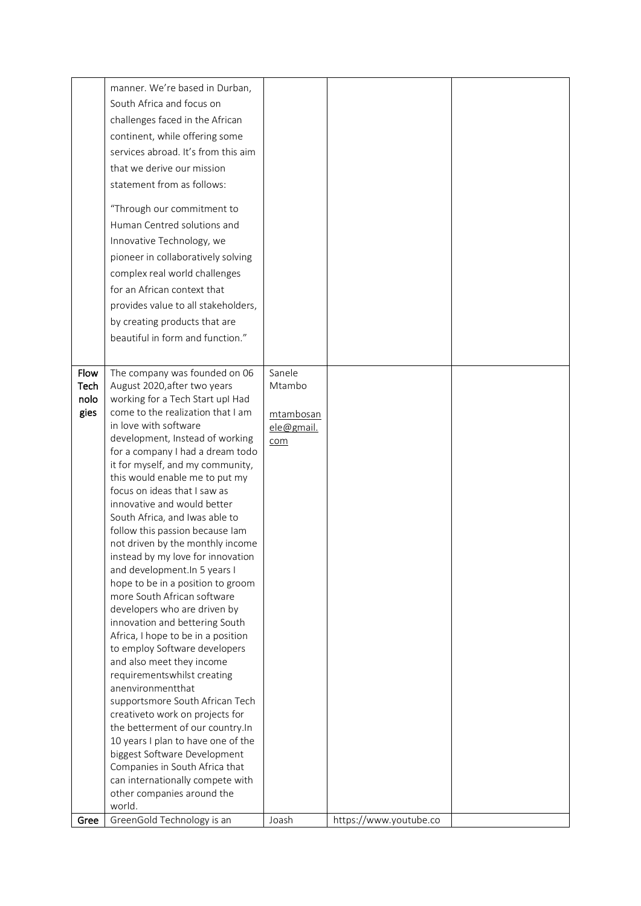|              | manner. We're based in Durban,                                         |                         |                        |  |
|--------------|------------------------------------------------------------------------|-------------------------|------------------------|--|
|              | South Africa and focus on                                              |                         |                        |  |
|              | challenges faced in the African                                        |                         |                        |  |
|              | continent, while offering some                                         |                         |                        |  |
|              | services abroad. It's from this aim                                    |                         |                        |  |
|              |                                                                        |                         |                        |  |
|              | that we derive our mission                                             |                         |                        |  |
|              | statement from as follows:                                             |                         |                        |  |
|              | "Through our commitment to                                             |                         |                        |  |
|              | Human Centred solutions and                                            |                         |                        |  |
|              | Innovative Technology, we                                              |                         |                        |  |
|              | pioneer in collaboratively solving                                     |                         |                        |  |
|              | complex real world challenges                                          |                         |                        |  |
|              | for an African context that                                            |                         |                        |  |
|              | provides value to all stakeholders,                                    |                         |                        |  |
|              | by creating products that are                                          |                         |                        |  |
|              |                                                                        |                         |                        |  |
|              | beautiful in form and function."                                       |                         |                        |  |
|              |                                                                        |                         |                        |  |
| Flow         | The company was founded on 06                                          | Sanele                  |                        |  |
| Tech         | August 2020, after two years                                           | Mtambo                  |                        |  |
| nolo<br>gies | working for a Tech Start upl Had<br>come to the realization that I am  |                         |                        |  |
|              | in love with software                                                  | mtambosan<br>ele@gmail. |                        |  |
|              | development, Instead of working                                        | com                     |                        |  |
|              | for a company I had a dream todo                                       |                         |                        |  |
|              | it for myself, and my community,                                       |                         |                        |  |
|              | this would enable me to put my                                         |                         |                        |  |
|              | focus on ideas that I saw as                                           |                         |                        |  |
|              | innovative and would better                                            |                         |                        |  |
|              | South Africa, and Iwas able to<br>follow this passion because lam      |                         |                        |  |
|              | not driven by the monthly income                                       |                         |                        |  |
|              | instead by my love for innovation                                      |                         |                        |  |
|              | and development. In 5 years I                                          |                         |                        |  |
|              | hope to be in a position to groom                                      |                         |                        |  |
|              | more South African software                                            |                         |                        |  |
|              | developers who are driven by                                           |                         |                        |  |
|              | innovation and bettering South<br>Africa, I hope to be in a position   |                         |                        |  |
|              | to employ Software developers                                          |                         |                        |  |
|              | and also meet they income                                              |                         |                        |  |
|              | requirementswhilst creating                                            |                         |                        |  |
|              | anenvironmentthat                                                      |                         |                        |  |
|              | supportsmore South African Tech                                        |                         |                        |  |
|              | creativeto work on projects for                                        |                         |                        |  |
|              | the betterment of our country.In<br>10 years I plan to have one of the |                         |                        |  |
|              | biggest Software Development                                           |                         |                        |  |
|              | Companies in South Africa that                                         |                         |                        |  |
|              | can internationally compete with                                       |                         |                        |  |
|              | other companies around the                                             |                         |                        |  |
|              | world.<br>GreenGold Technology is an                                   |                         |                        |  |
| Gree         |                                                                        | Joash                   | https://www.youtube.co |  |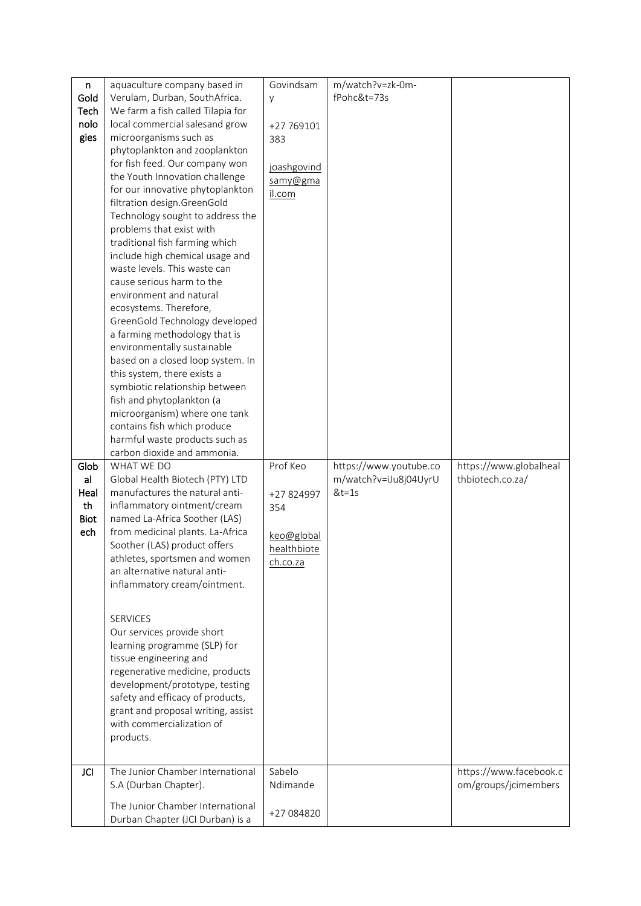| n<br>Gold<br>Tech<br>nolo<br>gies              | aquaculture company based in<br>Verulam, Durban, SouthAfrica.<br>We farm a fish called Tilapia for<br>local commercial salesand grow<br>microorganisms such as<br>phytoplankton and zooplankton                                                                                                                                                                                                                                                                                                                                                                                                                                                                                                 | Govindsam<br>У<br>+27 769101<br>383                                    | m/watch?v=zk-0m-<br>fPohc&t=73s                            |                                                |
|------------------------------------------------|-------------------------------------------------------------------------------------------------------------------------------------------------------------------------------------------------------------------------------------------------------------------------------------------------------------------------------------------------------------------------------------------------------------------------------------------------------------------------------------------------------------------------------------------------------------------------------------------------------------------------------------------------------------------------------------------------|------------------------------------------------------------------------|------------------------------------------------------------|------------------------------------------------|
|                                                | for fish feed. Our company won<br>the Youth Innovation challenge<br>for our innovative phytoplankton<br>filtration design.GreenGold<br>Technology sought to address the<br>problems that exist with<br>traditional fish farming which<br>include high chemical usage and<br>waste levels. This waste can<br>cause serious harm to the<br>environment and natural<br>ecosystems. Therefore,<br>GreenGold Technology developed<br>a farming methodology that is<br>environmentally sustainable<br>based on a closed loop system. In<br>this system, there exists a<br>symbiotic relationship between<br>fish and phytoplankton (a<br>microorganism) where one tank<br>contains fish which produce | joashgovind<br>samy@gma<br>il.com                                      |                                                            |                                                |
|                                                | harmful waste products such as<br>carbon dioxide and ammonia.                                                                                                                                                                                                                                                                                                                                                                                                                                                                                                                                                                                                                                   |                                                                        |                                                            |                                                |
| Glob<br>al<br>Heal<br>th<br><b>Biot</b><br>ech | WHAT WE DO<br>Global Health Biotech (PTY) LTD<br>manufactures the natural anti-<br>inflammatory ointment/cream<br>named La-Africa Soother (LAS)<br>from medicinal plants. La-Africa<br>Soother (LAS) product offers<br>athletes, sportsmen and women<br>an alternative natural anti-<br>inflammatory cream/ointment.<br><b>SERVICES</b>                                                                                                                                                                                                                                                                                                                                                         | Prof Keo<br>+27 824997<br>354<br>keo@global<br>healthbiote<br>ch.co.za | https://www.youtube.co<br>m/watch?v=iJu8j04UyrU<br>$&t=1s$ | https://www.globalheal<br>thbiotech.co.za/     |
|                                                | Our services provide short<br>learning programme (SLP) for<br>tissue engineering and<br>regenerative medicine, products<br>development/prototype, testing<br>safety and efficacy of products,<br>grant and proposal writing, assist<br>with commercialization of<br>products.                                                                                                                                                                                                                                                                                                                                                                                                                   |                                                                        |                                                            |                                                |
| <b>JCI</b>                                     | The Junior Chamber International<br>S.A (Durban Chapter).                                                                                                                                                                                                                                                                                                                                                                                                                                                                                                                                                                                                                                       | Sabelo<br>Ndimande                                                     |                                                            | https://www.facebook.c<br>om/groups/jcimembers |
|                                                | The Junior Chamber International<br>Durban Chapter (JCI Durban) is a                                                                                                                                                                                                                                                                                                                                                                                                                                                                                                                                                                                                                            | +27 084820                                                             |                                                            |                                                |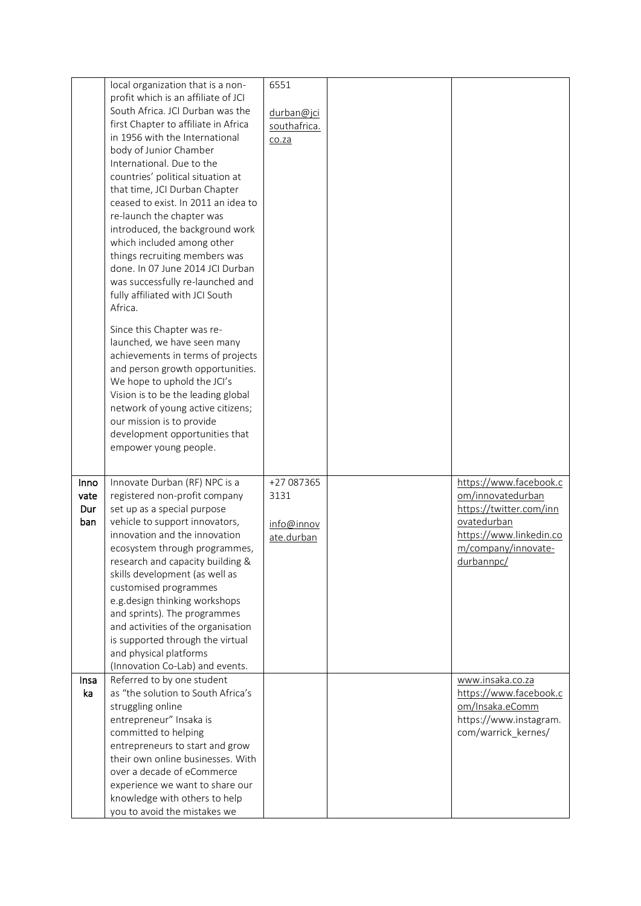|                            | local organization that is a non-<br>profit which is an affiliate of JCI<br>South Africa. JCI Durban was the<br>first Chapter to affiliate in Africa<br>in 1956 with the International<br>body of Junior Chamber<br>International. Due to the<br>countries' political situation at<br>that time, JCI Durban Chapter<br>ceased to exist. In 2011 an idea to<br>re-launch the chapter was<br>introduced, the background work<br>which included among other<br>things recruiting members was<br>done. In 07 June 2014 JCI Durban<br>was successfully re-launched and<br>fully affiliated with JCI South<br>Africa.<br>Since this Chapter was re-<br>launched, we have seen many<br>achievements in terms of projects<br>and person growth opportunities.<br>We hope to uphold the JCI's<br>Vision is to be the leading global<br>network of young active citizens;<br>our mission is to provide<br>development opportunities that<br>empower young people. | 6551<br>durban@jci<br>southafrica.<br>co.za    |                                                                                                                                                       |
|----------------------------|---------------------------------------------------------------------------------------------------------------------------------------------------------------------------------------------------------------------------------------------------------------------------------------------------------------------------------------------------------------------------------------------------------------------------------------------------------------------------------------------------------------------------------------------------------------------------------------------------------------------------------------------------------------------------------------------------------------------------------------------------------------------------------------------------------------------------------------------------------------------------------------------------------------------------------------------------------|------------------------------------------------|-------------------------------------------------------------------------------------------------------------------------------------------------------|
| Inno<br>vate<br>Dur<br>ban | Innovate Durban (RF) NPC is a<br>registered non-profit company<br>set up as a special purpose<br>vehicle to support innovators,<br>innovation and the innovation<br>ecosystem through programmes,<br>research and capacity building &<br>skills development (as well as<br>customised programmes<br>e.g.design thinking workshops<br>and sprints). The programmes<br>and activities of the organisation<br>is supported through the virtual<br>and physical platforms<br>(Innovation Co-Lab) and events.                                                                                                                                                                                                                                                                                                                                                                                                                                                | +27 087365<br>3131<br>info@innov<br>ate.durban | https://www.facebook.c<br>om/innovatedurban<br>https://twitter.com/inn<br>ovatedurban<br>https://www.linkedin.co<br>m/company/innovate-<br>durbannpc/ |
| Insa<br>ka                 | Referred to by one student<br>as "the solution to South Africa's<br>struggling online<br>entrepreneur" Insaka is<br>committed to helping<br>entrepreneurs to start and grow<br>their own online businesses. With<br>over a decade of eCommerce<br>experience we want to share our<br>knowledge with others to help<br>you to avoid the mistakes we                                                                                                                                                                                                                                                                                                                                                                                                                                                                                                                                                                                                      |                                                | www.insaka.co.za<br>https://www.facebook.c<br>om/Insaka.eComm<br>https://www.instagram.<br>com/warrick_kernes/                                        |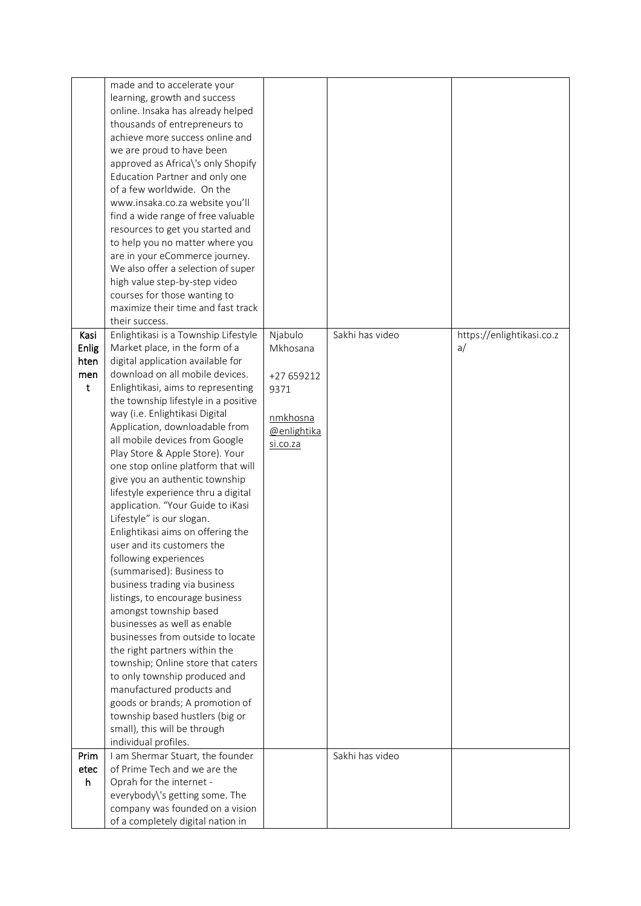|       | made and to accelerate your                                           |             |                 |                           |
|-------|-----------------------------------------------------------------------|-------------|-----------------|---------------------------|
|       | learning, growth and success                                          |             |                 |                           |
|       | online. Insaka has already helped                                     |             |                 |                           |
|       | thousands of entrepreneurs to                                         |             |                 |                           |
|       | achieve more success online and                                       |             |                 |                           |
|       | we are proud to have been                                             |             |                 |                           |
|       | approved as Africa\'s only Shopify                                    |             |                 |                           |
|       | Education Partner and only one                                        |             |                 |                           |
|       | of a few worldwide. On the                                            |             |                 |                           |
|       | www.insaka.co.za website you'll                                       |             |                 |                           |
|       | find a wide range of free valuable                                    |             |                 |                           |
|       | resources to get you started and                                      |             |                 |                           |
|       | to help you no matter where you                                       |             |                 |                           |
|       | are in your eCommerce journey.                                        |             |                 |                           |
|       | We also offer a selection of super                                    |             |                 |                           |
|       | high value step-by-step video                                         |             |                 |                           |
|       | courses for those wanting to                                          |             |                 |                           |
|       | maximize their time and fast track                                    |             |                 |                           |
|       | their success.                                                        |             |                 |                           |
| Kasi  | Enlightikasi is a Township Lifestyle                                  | Njabulo     | Sakhi has video | https://enlightikasi.co.z |
| Enlig | Market place, in the form of a                                        | Mkhosana    |                 | a/                        |
| hten  | digital application available for                                     |             |                 |                           |
| men   | download on all mobile devices.                                       | +27 659212  |                 |                           |
| t     | Enlightikasi, aims to representing                                    | 9371        |                 |                           |
|       | the township lifestyle in a positive                                  |             |                 |                           |
|       | way (i.e. Enlightikasi Digital                                        | nmkhosna    |                 |                           |
|       | Application, downloadable from                                        | @enlightika |                 |                           |
|       | all mobile devices from Google                                        | si.co.za    |                 |                           |
|       | Play Store & Apple Store). Your<br>one stop online platform that will |             |                 |                           |
|       | give you an authentic township                                        |             |                 |                           |
|       | lifestyle experience thru a digital                                   |             |                 |                           |
|       | application. "Your Guide to iKasi                                     |             |                 |                           |
|       | Lifestyle" is our slogan.                                             |             |                 |                           |
|       | Enlightikasi aims on offering the                                     |             |                 |                           |
|       | user and its customers the                                            |             |                 |                           |
|       | following experiences                                                 |             |                 |                           |
|       | (summarised): Business to                                             |             |                 |                           |
|       | business trading via business                                         |             |                 |                           |
|       | listings, to encourage business                                       |             |                 |                           |
|       | amongst township based                                                |             |                 |                           |
|       | businesses as well as enable                                          |             |                 |                           |
|       | businesses from outside to locate                                     |             |                 |                           |
|       | the right partners within the                                         |             |                 |                           |
|       | township; Online store that caters                                    |             |                 |                           |
|       | to only township produced and                                         |             |                 |                           |
|       | manufactured products and                                             |             |                 |                           |
|       | goods or brands; A promotion of                                       |             |                 |                           |
|       | township based hustlers (big or                                       |             |                 |                           |
|       | small), this will be through                                          |             |                 |                           |
|       | individual profiles.                                                  |             |                 |                           |
| Prim  | I am Shermar Stuart, the founder                                      |             | Sakhi has video |                           |
| etec  | of Prime Tech and we are the                                          |             |                 |                           |
| h     | Oprah for the internet -                                              |             |                 |                           |
|       | everybody\'s getting some. The<br>company was founded on a vision     |             |                 |                           |
|       | of a completely digital nation in                                     |             |                 |                           |
|       |                                                                       |             |                 |                           |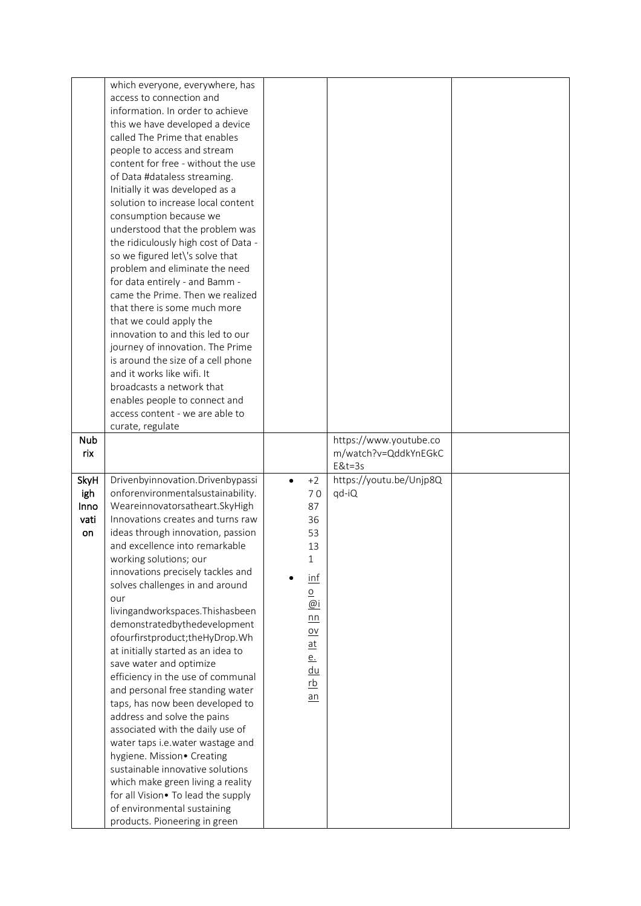|            | which everyone, everywhere, has                              |                           |                                  |  |
|------------|--------------------------------------------------------------|---------------------------|----------------------------------|--|
|            | access to connection and                                     |                           |                                  |  |
|            | information. In order to achieve                             |                           |                                  |  |
|            | this we have developed a device                              |                           |                                  |  |
|            | called The Prime that enables                                |                           |                                  |  |
|            | people to access and stream                                  |                           |                                  |  |
|            | content for free - without the use                           |                           |                                  |  |
|            | of Data #dataless streaming.                                 |                           |                                  |  |
|            | Initially it was developed as a                              |                           |                                  |  |
|            | solution to increase local content                           |                           |                                  |  |
|            |                                                              |                           |                                  |  |
|            | consumption because we                                       |                           |                                  |  |
|            | understood that the problem was                              |                           |                                  |  |
|            | the ridiculously high cost of Data -                         |                           |                                  |  |
|            | so we figured let\'s solve that                              |                           |                                  |  |
|            | problem and eliminate the need                               |                           |                                  |  |
|            | for data entirely - and Bamm -                               |                           |                                  |  |
|            | came the Prime. Then we realized                             |                           |                                  |  |
|            | that there is some much more                                 |                           |                                  |  |
|            | that we could apply the                                      |                           |                                  |  |
|            | innovation to and this led to our                            |                           |                                  |  |
|            | journey of innovation. The Prime                             |                           |                                  |  |
|            | is around the size of a cell phone                           |                           |                                  |  |
|            | and it works like wifi. It                                   |                           |                                  |  |
|            | broadcasts a network that                                    |                           |                                  |  |
|            | enables people to connect and                                |                           |                                  |  |
|            | access content - we are able to                              |                           |                                  |  |
|            | curate, regulate                                             |                           |                                  |  |
| <b>Nub</b> |                                                              |                           | https://www.youtube.co           |  |
|            |                                                              |                           |                                  |  |
| rix        |                                                              |                           |                                  |  |
|            |                                                              |                           | m/watch?v=QddkYnEGkC<br>$E&t=3s$ |  |
|            |                                                              | $+2$<br>$\bullet$         |                                  |  |
| SkyH       | Drivenbyinnovation. Drivenbypassi                            |                           | https://youtu.be/Unjp8Q          |  |
| igh        | onforenvironmentalsustainability.                            | 70                        | qd-iQ                            |  |
| Inno       | Weareinnovatorsatheart.SkyHigh                               | 87                        |                                  |  |
| vati       | Innovations creates and turns raw                            | 36                        |                                  |  |
| on         | ideas through innovation, passion                            | 53                        |                                  |  |
|            | and excellence into remarkable                               | 13                        |                                  |  |
|            | working solutions; our                                       | 1                         |                                  |  |
|            | innovations precisely tackles and                            | $\frac{inf}{ }$           |                                  |  |
|            | solves challenges in and around                              | $\overline{\mathsf{o}}$   |                                  |  |
|            | our                                                          | @i                        |                                  |  |
|            | livingandworkspaces. Thishasbeen                             | n n                       |                                  |  |
|            | demonstratedbythedevelopment                                 | $\underline{\mathsf{ov}}$ |                                  |  |
|            | ofourfirstproduct;theHyDrop.Wh                               | $\underline{\mathsf{at}}$ |                                  |  |
|            | at initially started as an idea to                           | <u>e.</u>                 |                                  |  |
|            | save water and optimize                                      | du                        |                                  |  |
|            | efficiency in the use of communal                            | <u>rb</u>                 |                                  |  |
|            | and personal free standing water                             | $an$                      |                                  |  |
|            | taps, has now been developed to                              |                           |                                  |  |
|            | address and solve the pains                                  |                           |                                  |  |
|            | associated with the daily use of                             |                           |                                  |  |
|            | water taps i.e.water wastage and                             |                           |                                  |  |
|            | hygiene. Mission• Creating                                   |                           |                                  |  |
|            | sustainable innovative solutions                             |                           |                                  |  |
|            | which make green living a reality                            |                           |                                  |  |
|            | for all Vision. To lead the supply                           |                           |                                  |  |
|            | of environmental sustaining<br>products. Pioneering in green |                           |                                  |  |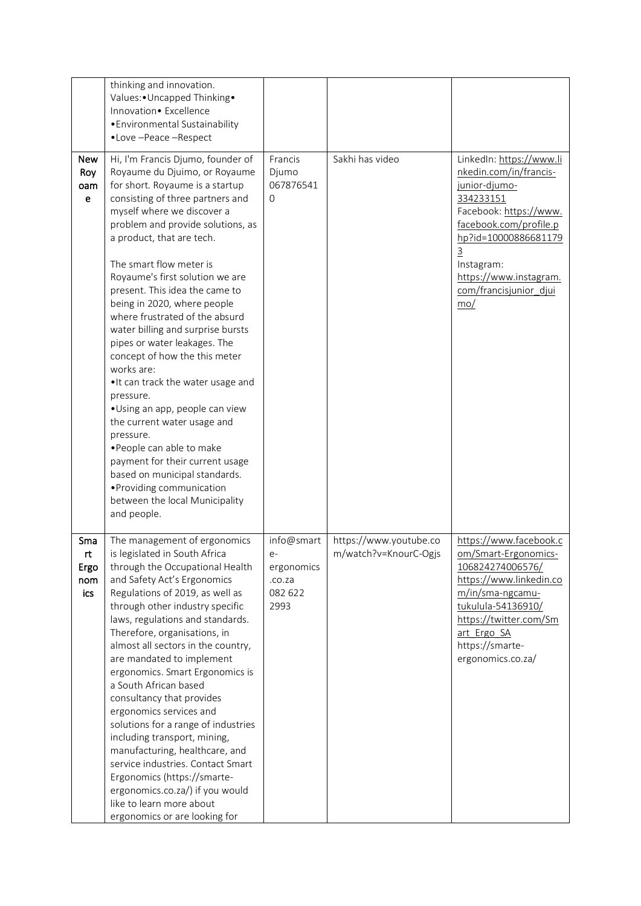|                                   | thinking and innovation.<br>Values: • Uncapped Thinking •<br>Innovation• Excellence<br>• Environmental Sustainability<br>•Love-Peace-Respect                                                                                                                                                                                                                                                                                                                                                                                                                                                                                                                                                                                                                                                                                                  |                                                               |                                                 |                                                                                                                                                                                                                                                                       |
|-----------------------------------|-----------------------------------------------------------------------------------------------------------------------------------------------------------------------------------------------------------------------------------------------------------------------------------------------------------------------------------------------------------------------------------------------------------------------------------------------------------------------------------------------------------------------------------------------------------------------------------------------------------------------------------------------------------------------------------------------------------------------------------------------------------------------------------------------------------------------------------------------|---------------------------------------------------------------|-------------------------------------------------|-----------------------------------------------------------------------------------------------------------------------------------------------------------------------------------------------------------------------------------------------------------------------|
| New<br>Roy<br>oam<br>$\mathbf{e}$ | Hi, I'm Francis Djumo, founder of<br>Royaume du Djuimo, or Royaume<br>for short. Royaume is a startup<br>consisting of three partners and<br>myself where we discover a<br>problem and provide solutions, as<br>a product, that are tech.<br>The smart flow meter is<br>Royaume's first solution we are<br>present. This idea the came to<br>being in 2020, where people<br>where frustrated of the absurd<br>water billing and surprise bursts<br>pipes or water leakages. The<br>concept of how the this meter<br>works are:<br>. It can track the water usage and<br>pressure.<br>·Using an app, people can view<br>the current water usage and<br>pressure.<br>·People can able to make<br>payment for their current usage<br>based on municipal standards.<br>• Providing communication<br>between the local Municipality<br>and people. | Francis<br>Djumo<br>067876541<br>$\Omega$                     | Sakhi has video                                 | LinkedIn: https://www.li<br>nkedin.com/in/francis-<br>junior-djumo-<br>334233151<br>Facebook: https://www.<br>facebook.com/profile.p<br>hp?id=10000886681179<br>$\overline{3}$<br>Instagram:<br>https://www.instagram.<br>com/francisjunior djui<br>$\underline{mo}/$ |
| Sma<br>rt<br>Ergo<br>nom<br>ics   | The management of ergonomics<br>is legislated in South Africa<br>through the Occupational Health<br>and Safety Act's Ergonomics<br>Regulations of 2019, as well as<br>through other industry specific<br>laws, regulations and standards.<br>Therefore, organisations, in<br>almost all sectors in the country,<br>are mandated to implement<br>ergonomics. Smart Ergonomics is<br>a South African based<br>consultancy that provides<br>ergonomics services and<br>solutions for a range of industries<br>including transport, mining,<br>manufacturing, healthcare, and<br>service industries. Contact Smart<br>Ergonomics (https://smarte-<br>ergonomics.co.za/) if you would<br>like to learn more about<br>ergonomics or are looking for                                                                                                 | info@smart<br>$e-$<br>ergonomics<br>.co.za<br>082 622<br>2993 | https://www.youtube.co<br>m/watch?v=KnourC-Ogjs | https://www.facebook.c<br>om/Smart-Ergonomics-<br>106824274006576/<br>https://www.linkedin.co<br>m/in/sma-ngcamu-<br>tukulula-54136910/<br>https://twitter.com/Sm<br>art Ergo SA<br>https://smarte-<br>ergonomics.co.za/                                              |